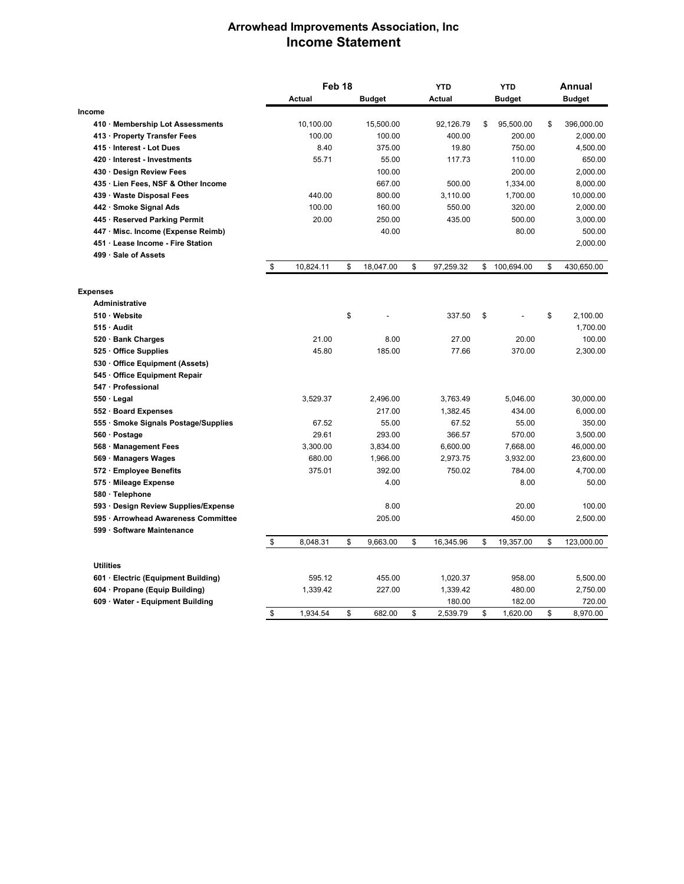## **Arrowhead Improvements Association, Inc Income Statement**

|                                      | Feb <sub>18</sub> |    |               | <b>YTD</b>      | <b>YTD</b> |               | Annual |               |
|--------------------------------------|-------------------|----|---------------|-----------------|------------|---------------|--------|---------------|
|                                      | <b>Actual</b>     |    | <b>Budget</b> | <b>Actual</b>   |            | <b>Budget</b> |        | <b>Budget</b> |
| Income                               |                   |    |               |                 |            |               |        |               |
| 410 · Membership Lot Assessments     | 10,100.00         |    | 15,500.00     | 92,126.79       | \$         | 95,500.00     | \$     | 396,000.00    |
| 413 · Property Transfer Fees         | 100.00            |    | 100.00        | 400.00          |            | 200.00        |        | 2,000.00      |
| 415 · Interest - Lot Dues            | 8.40              |    | 375.00        | 19.80           |            | 750.00        |        | 4,500.00      |
| 420 Interest - Investments           | 55.71             |    | 55.00         | 117.73          |            | 110.00        |        | 650.00        |
| 430 Design Review Fees               |                   |    | 100.00        |                 |            | 200.00        |        | 2,000.00      |
| 435 · Lien Fees, NSF & Other Income  |                   |    | 667.00        | 500.00          |            | 1,334.00      |        | 8,000.00      |
| 439 Waste Disposal Fees              | 440.00            |    | 800.00        | 3,110.00        |            | 1,700.00      |        | 10,000.00     |
| 442 · Smoke Signal Ads               | 100.00            |    | 160.00        | 550.00          |            | 320.00        |        | 2,000.00      |
| 445 · Reserved Parking Permit        | 20.00             |    | 250.00        | 435.00          |            | 500.00        |        | 3,000.00      |
| 447 Misc. Income (Expense Reimb)     |                   |    | 40.00         |                 |            | 80.00         |        | 500.00        |
| 451 Lease Income - Fire Station      |                   |    |               |                 |            |               |        | 2,000.00      |
| 499 · Sale of Assets                 |                   |    |               |                 |            |               |        |               |
|                                      | \$<br>10,824.11   | \$ | 18,047.00     | \$<br>97,259.32 | \$         | 100,694.00    | \$     | 430,650.00    |
| <b>Expenses</b>                      |                   |    |               |                 |            |               |        |               |
| <b>Administrative</b>                |                   |    |               |                 |            |               |        |               |
| 510 Website                          |                   | \$ |               | 337.50          | \$         |               | \$     | 2,100.00      |
| 515 Audit                            |                   |    |               |                 |            |               |        | 1,700.00      |
| 520 · Bank Charges                   | 21.00             |    | 8.00          | 27.00           |            | 20.00         |        | 100.00        |
| 525 Office Supplies                  | 45.80             |    | 185.00        | 77.66           |            | 370.00        |        | 2,300.00      |
| 530 Office Equipment (Assets)        |                   |    |               |                 |            |               |        |               |
| 545 Office Equipment Repair          |                   |    |               |                 |            |               |        |               |
| 547 Professional                     |                   |    |               |                 |            |               |        |               |
| $550 \cdot$ Legal                    | 3,529.37          |    | 2,496.00      | 3,763.49        |            | 5,046.00      |        | 30,000.00     |
| 552 · Board Expenses                 |                   |    | 217.00        | 1,382.45        |            | 434.00        |        | 6,000.00      |
| 555 · Smoke Signals Postage/Supplies | 67.52             |    | 55.00         | 67.52           |            | 55.00         |        | 350.00        |
| 560 · Postage                        | 29.61             |    | 293.00        | 366.57          |            | 570.00        |        | 3,500.00      |
| 568 Management Fees                  | 3,300.00          |    | 3,834.00      | 6,600.00        |            | 7,668.00      |        | 46,000.00     |
| 569 · Managers Wages                 | 680.00            |    | 1,966.00      | 2,973.75        |            | 3,932.00      |        | 23,600.00     |
| 572 · Employee Benefits              | 375.01            |    | 392.00        | 750.02          |            | 784.00        |        | 4,700.00      |
| 575 Mileage Expense                  |                   |    | 4.00          |                 |            | 8.00          |        | 50.00         |
| 580 · Telephone                      |                   |    |               |                 |            |               |        |               |
| 593 · Design Review Supplies/Expense |                   |    | 8.00          |                 |            | 20.00         |        | 100.00        |
| 595 Arrowhead Awareness Committee    |                   |    | 205.00        |                 |            | 450.00        |        | 2,500.00      |
| 599 Software Maintenance             |                   |    |               |                 |            |               |        |               |
|                                      | \$<br>8,048.31    | \$ | 9,663.00      | \$<br>16,345.96 | \$         | 19,357.00     | \$     | 123,000.00    |
| <b>Utilities</b>                     |                   |    |               |                 |            |               |        |               |
| 601 · Electric (Equipment Building)  | 595.12            |    | 455.00        | 1,020.37        |            | 958.00        |        | 5,500.00      |
| 604 Propane (Equip Building)         | 1,339.42          |    | 227.00        | 1,339.42        |            | 480.00        |        | 2,750.00      |
| 609 Water - Equipment Building       |                   |    |               | 180.00          |            | 182.00        |        | 720.00        |
|                                      | \$<br>1,934.54    | \$ | 682.00        | \$<br>2,539.79  | \$         | 1,620.00      | \$     | 8,970.00      |